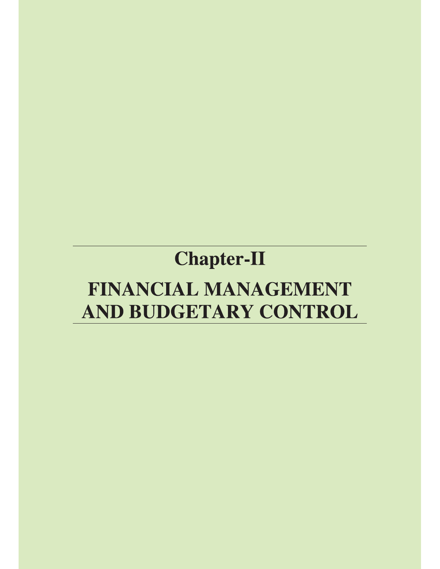# **Chapter-II**

# FINANCIAL MANAGEMENT AND BUDGETARY CONTROL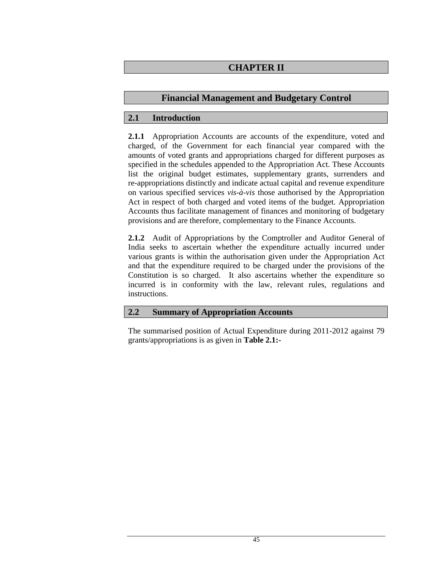# **CHAPTER II**

# **Financial Management and Budgetary Control**

## **2.1 Introduction**

**2.1.1** Appropriation Accounts are accounts of the expenditure, voted and charged, of the Government for each financial year compared with the amounts of voted grants and appropriations charged for different purposes as specified in the schedules appended to the Appropriation Act. These Accounts list the original budget estimates, supplementary grants, surrenders and re-appropriations distinctly and indicate actual capital and revenue expenditure on various specified services *vis-à-vis* those authorised by the Appropriation Act in respect of both charged and voted items of the budget. Appropriation Accounts thus facilitate management of finances and monitoring of budgetary provisions and are therefore, complementary to the Finance Accounts.

**2.1.2** Audit of Appropriations by the Comptroller and Auditor General of India seeks to ascertain whether the expenditure actually incurred under various grants is within the authorisation given under the Appropriation Act and that the expenditure required to be charged under the provisions of the Constitution is so charged. It also ascertains whether the expenditure so incurred is in conformity with the law, relevant rules, regulations and instructions.

## **2.2 Summary of Appropriation Accounts**

The summarised position of Actual Expenditure during 2011-2012 against 79 grants/appropriations is as given in **Table 2.1:-**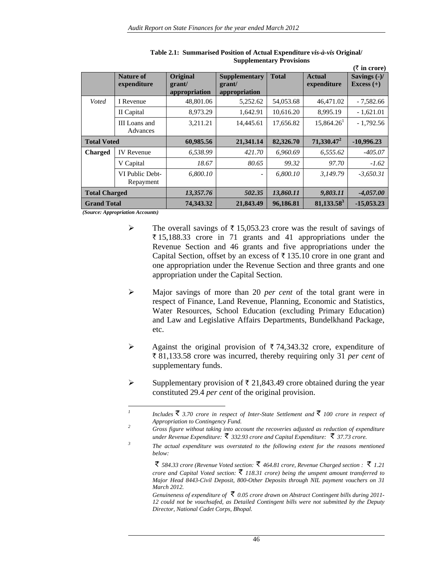|                      |                   |               |                      |              |                          | $(\bar{\tau}$ in crore) |
|----------------------|-------------------|---------------|----------------------|--------------|--------------------------|-------------------------|
|                      | <b>Nature of</b>  | Original      | <b>Supplementary</b> | <b>Total</b> | <b>Actual</b>            | Savings $(-)/$          |
|                      | expenditure       | grant/        | grant/               |              | expenditure              | Excess $(+)$            |
|                      |                   | appropriation | appropriation        |              |                          |                         |
| Voted                | I Revenue         | 48,801.06     | 5,252.62             | 54,053.68    | 46,471.02                | $-7,582.66$             |
|                      | II Capital        | 8,973.29      | 1,642.91             | 10,616.20    | 8,995.19                 | $-1,621.01$             |
|                      | III Loans and     | 3,211.21      | 14,445.61            | 17,656.82    | $15,864.26$ <sup>1</sup> | $-1,792.56$             |
|                      | Advances          |               |                      |              |                          |                         |
| <b>Total Voted</b>   |                   | 60,985.56     | 21,341.14            | 82,326.70    | $71,330.47^2$            | $-10,996.23$            |
| <b>Charged</b>       | <b>IV</b> Revenue | 6.538.99      | 421.70               | 6.960.69     | 6.555.62                 | $-405.07$               |
|                      | V Capital         | 18.67         | 80.65                | 99.32        | 97.70                    | $-1.62$                 |
|                      | VI Public Debt-   | 6.800.10      |                      | 6.800.10     | 3,149.79                 | $-3,650.31$             |
|                      | Repayment         |               |                      |              |                          |                         |
| <b>Total Charged</b> |                   | 13,357.76     | 502.35               | 13,860.11    | 9,803.11                 | $-4,057.00$             |
| <b>Grand Total</b>   |                   | 74,343.32     | 21,843.49            | 96,186.81    | $81,133.58^3$            | $-15,053,23$            |

**Table 2.1: Summarised Position of Actual Expenditure** *vis-à-vis* **Original/ Supplementary Provisions** 

*(Source: Appropriation Accounts)*

- $\triangleright$  The overall savings of  $\overline{\tau}$  15,053.23 crore was the result of savings of  $\overline{\xi}$  15,188.33 crore in 71 grants and 41 appropriations under the Revenue Section and 46 grants and five appropriations under the Capital Section, offset by an excess of  $\bar{\tau}$  135.10 crore in one grant and one appropriation under the Revenue Section and three grants and one appropriation under the Capital Section.
- ¾ Major savings of more than 20 *per cent* of the total grant were in respect of Finance, Land Revenue, Planning, Economic and Statistics, Water Resources, School Education (excluding Primary Education) and Law and Legislative Affairs Departments, Bundelkhand Package, etc.
- $\triangleright$  Against the original provision of  $\overline{\tau}$  74,343.32 crore, expenditure of ` 81,133.58 crore was incurred, thereby requiring only 31 *per cent* of supplementary funds.
- $\triangleright$  Supplementary provision of  $\bar{\tau}$  21,843.49 crore obtained during the year constituted 29.4 *per cent* of the original provision.

*Includes*  $\bar{\mathfrak{F}}$  3.70 crore in respect of Inter-State Settlement and  $\bar{\mathfrak{F}}$  100 crore in respect of Appropriation to Contingency Fund.

*Appropriation to Contingency Fund. 2 Gross figure without taking into account the recoveries adjusted as reduction of expenditure under Revenue Expenditure: 332.93 crore and Capital Expenditure: 37.73 crore.* 

*<sup>3</sup> The actual expenditure was overstated to the following extent for the reasons mentioned below:* 

*<sup>584.33</sup> crore (Revenue Voted section: 464.81 crore, Revenue Charged section : 1.21 crore and Capital Voted section: 118.31 crore) being the unspent amount transferred to Major Head 8443-Civil Deposit, 800-Other Deposits through NIL payment vouchers on 31 March 2012.* 

*Genuineness of expenditure of*  $\bar{\mathcal{F}}$  0.05 crore drawn on Abstract Contingent bills during 2011-*12 could not be vouchsafed, as Detailed Contingent bills were not submitted by the Deputy Director, National Cadet Corps, Bhopal.*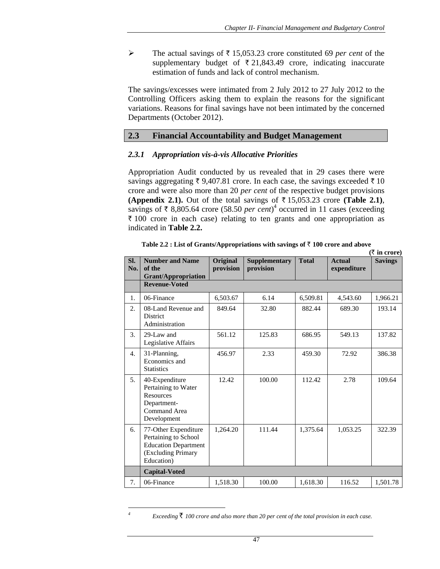¾ The actual savings of ` 15,053.23 crore constituted 69 *per cent* of the supplementary budget of  $\bar{\tau}$  21,843.49 crore, indicating inaccurate estimation of funds and lack of control mechanism.

The savings/excesses were intimated from 2 July 2012 to 27 July 2012 to the Controlling Officers asking them to explain the reasons for the significant variations. Reasons for final savings have not been intimated by the concerned Departments (October 2012).

## **2.3 Financial Accountability and Budget Management**

#### *2.3.1 Appropriation vis-à-vis Allocative Priorities*

Appropriation Audit conducted by us revealed that in 29 cases there were savings aggregating  $\bar{\tau}$  9,407.81 crore. In each case, the savings exceeded  $\bar{\tau}$  10 crore and were also more than 20 *per cent* of the respective budget provisions **(Appendix 2.1).** Out of the total savings of  $\bar{\tau}$  15,053.23 crore **(Table 2.1)**, savings of  $\bar{\tau}$  8,805.64 crore (58.50 *per cent*)<sup>4</sup> occurred in 11 cases (exceeding  $\bar{\tau}$  100 crore in each case) relating to ten grants and one appropriation as indicated in **Table 2.2.** 

|                  |                                                                                                                 |                       |                                   |              |                              | $(1 \text{ m} \cup \cup \cup)$ |
|------------------|-----------------------------------------------------------------------------------------------------------------|-----------------------|-----------------------------------|--------------|------------------------------|--------------------------------|
| SI.<br>No.       | <b>Number and Name</b><br>of the<br><b>Grant/Appropriation</b>                                                  | Original<br>provision | <b>Supplementary</b><br>provision | <b>Total</b> | <b>Actual</b><br>expenditure | <b>Savings</b>                 |
|                  | <b>Revenue-Voted</b>                                                                                            |                       |                                   |              |                              |                                |
| 1.               | 06-Finance                                                                                                      | 6,503.67              | 6.14                              | 6,509.81     | 4,543.60                     | 1,966.21                       |
| $\overline{2}$ . | 08-Land Revenue and<br>District<br>Administration                                                               | 849.64                | 32.80                             | 882.44       | 689.30                       | 193.14                         |
| 3.               | 29-Law and<br>Legislative Affairs                                                                               | 561.12                | 125.83                            | 686.95       | 549.13                       | 137.82                         |
| $\overline{4}$ . | 31-Planning,<br>Economics and<br><b>Statistics</b>                                                              | 456.97                | 2.33                              | 459.30       | 72.92                        | 386.38                         |
| 5 <sub>1</sub>   | 40-Expenditure<br>Pertaining to Water<br><b>Resources</b><br>Department-<br>Command Area<br>Development         | 12.42                 | 100.00                            | 112.42       | 2.78                         | 109.64                         |
| 6.               | 77-Other Expenditure<br>Pertaining to School<br><b>Education Department</b><br>(Excluding Primary<br>Education) | 1,264.20              | 111.44                            | 1,375.64     | 1,053.25                     | 322.39                         |
|                  | <b>Capital-Voted</b>                                                                                            |                       |                                   |              |                              |                                |
| 7.               | 06-Finance                                                                                                      | 1,518.30              | 100.00                            | 1,618.30     | 116.52                       | 1,501.78                       |

Table 2.2 : List of Grants/Appropriations with savings of  $\bar{z}$  100 crore and above  $(\bar{z}$  in crore)

*Exceeding*  $\bar{\tau}$  100 crore and also more than 20 per cent of the total provision in each case.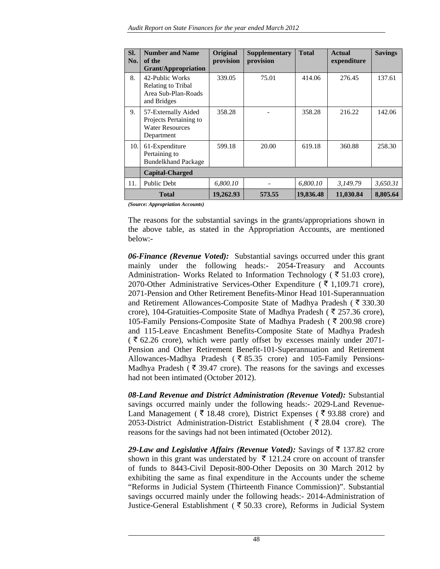| SI.<br>No. | <b>Number and Name</b><br>of the<br><b>Grant/Appropriation</b>                        | Original<br>provision | Supplementary<br>provision | <b>Total</b> | <b>Actual</b><br>expenditure | <b>Savings</b> |
|------------|---------------------------------------------------------------------------------------|-----------------------|----------------------------|--------------|------------------------------|----------------|
| 8.         | 42-Public Works<br>Relating to Tribal<br>Area Sub-Plan-Roads<br>and Bridges           | 339.05                | 75.01                      | 414.06       | 276.45                       | 137.61         |
| 9.         | 57-Externally Aided<br>Projects Pertaining to<br><b>Water Resources</b><br>Department | 358.28                |                            | 358.28       | 216.22                       | 142.06         |
| 10.1       | 61-Expenditure<br>Pertaining to<br><b>Bundelkhand Package</b>                         | 599.18                | 20.00                      | 619.18       | 360.88                       | 258.30         |
|            | <b>Capital-Charged</b>                                                                |                       |                            |              |                              |                |
| 11.        | Public Debt                                                                           | 6,800.10              |                            | 6,800.10     | 3,149.79                     | 3,650.31       |
|            | <b>Total</b>                                                                          | 19,262.93             | 573.55                     | 19,836.48    | 11,030.84                    | 8,805.64       |

*(Source: Appropriation Accounts)*

The reasons for the substantial savings in the grants/appropriations shown in the above table, as stated in the Appropriation Accounts, are mentioned below:-

*06-Finance (Revenue Voted):* Substantial savings occurred under this grant mainly under the following heads:- 2054-Treasury and Accounts Administration- Works Related to Information Technology ( $\bar{\xi}$  51.03 crore), 2070-Other Administrative Services-Other Expenditure ( $\bar{\tau}$  1,109.71 crore), 2071-Pension and Other Retirement Benefits-Minor Head 101-Superannuation and Retirement Allowances-Composite State of Madhya Pradesh ( $\bar{\tau}$  330.30) crore), 104-Gratuities-Composite State of Madhya Pradesh ( $\bar{\tau}$  257.36 crore), 105-Family Pensions-Composite State of Madhya Pradesh ( $\bar{\tau}$  200.98 crore) and 115-Leave Encashment Benefits-Composite State of Madhya Pradesh  $($   $\overline{\xi}$  62.26 crore), which were partly offset by excesses mainly under 2071-Pension and Other Retirement Benefit-101-Superannuation and Retirement Allowances-Madhya Pradesh ( $\bar{\xi}$  85.35 crore) and 105-Family Pensions-Madhya Pradesh ( $\overline{\xi}$  39.47 crore). The reasons for the savings and excesses had not been intimated (October 2012).

*08-Land Revenue and District Administration (Revenue Voted):* Substantial savings occurred mainly under the following heads:- 2029-Land Revenue-Land Management ( $\bar{\xi}$  18.48 crore), District Expenses ( $\bar{\xi}$  93.88 crore) and 2053-District Administration-District Establishment ( $\overline{5}$  28.04 crore). The reasons for the savings had not been intimated (October 2012).

29-Law and Legislative Affairs (Revenue Voted): Savings of  $\bar{z}$  137.82 crore shown in this grant was understated by  $\bar{\tau}$  121.24 crore on account of transfer of funds to 8443-Civil Deposit-800-Other Deposits on 30 March 2012 by exhibiting the same as final expenditure in the Accounts under the scheme "Reforms in Judicial System (Thirteenth Finance Commission)". Substantial savings occurred mainly under the following heads:- 2014-Administration of Justice-General Establishment ( $\bar{\xi}$  50.33 crore), Reforms in Judicial System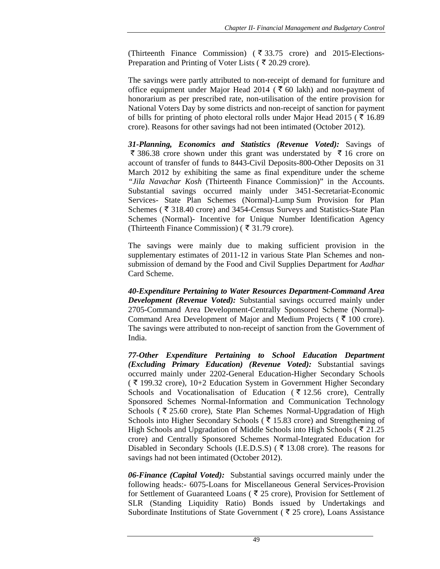(Thirteenth Finance Commission) ( $\overline{\xi}$  33.75 crore) and 2015-Elections-Preparation and Printing of Voter Lists ( $\bar{\xi}$  20.29 crore).

The savings were partly attributed to non-receipt of demand for furniture and office equipment under Major Head 2014 ( $\bar{\xi}$  60 lakh) and non-payment of honorarium as per prescribed rate, non-utilisation of the entire provision for National Voters Day by some districts and non-receipt of sanction for payment of bills for printing of photo electoral rolls under Major Head 2015 ( $\overline{5}$  16.89) crore). Reasons for other savings had not been intimated (October 2012).

*31-Planning, Economics and Statistics (Revenue Voted):* Savings of  $\overline{\xi}$  386.38 crore shown under this grant was understated by  $\overline{\xi}$  16 crore on account of transfer of funds to 8443-Civil Deposits-800-Other Deposits on 31 March 2012 by exhibiting the same as final expenditure under the scheme *"Jila Navachar Kosh* (Thirteenth Finance Commission)" in the Accounts. Substantial savings occurred mainly under 3451-Secretariat-Economic Services- State Plan Schemes (Normal)-Lump Sum Provision for Plan Schemes (₹318.40 crore) and 3454-Census Surveys and Statistics-State Plan Schemes (Normal)- Incentive for Unique Number Identification Agency (Thirteenth Finance Commission) ( $\bar{\xi}$  31.79 crore).

The savings were mainly due to making sufficient provision in the supplementary estimates of 2011-12 in various State Plan Schemes and nonsubmission of demand by the Food and Civil Supplies Department for *Aadhar* Card Scheme.

*40-Expenditure Pertaining to Water Resources Department-Command Area Development (Revenue Voted):* Substantial savings occurred mainly under 2705-Command Area Development-Centrally Sponsored Scheme (Normal)- Command Area Development of Major and Medium Projects ( $\bar{\tau}$  100 crore). The savings were attributed to non-receipt of sanction from the Government of India.

*77-Other Expenditure Pertaining to School Education Department (Excluding Primary Education) (Revenue Voted):* Substantial savings occurred mainly under 2202-General Education-Higher Secondary Schools  $($   $\bar{\xi}$  199.32 crore), 10+2 Education System in Government Higher Secondary Schools and Vocationalisation of Education ( $\bar{\tau}$  12.56 crore), Centrally Sponsored Schemes Normal-Information and Communication Technology Schools ( $\bar{\tau}$  25.60 crore), State Plan Schemes Normal-Upgradation of High Schools into Higher Secondary Schools ( $\bar{\tau}$  15.83 crore) and Strengthening of High Schools and Upgradation of Middle Schools into High Schools ( $\bar{\tau}$  21.25) crore) and Centrally Sponsored Schemes Normal-Integrated Education for Disabled in Secondary Schools (I.E.D.S.S) ( $\bar{\tau}$  13.08 crore). The reasons for savings had not been intimated (October 2012).

*06-Finance (Capital Voted):* Substantial savings occurred mainly under the following heads:- 6075-Loans for Miscellaneous General Services-Provision for Settlement of Guaranteed Loans ( $\bar{\xi}$  25 crore), Provision for Settlement of SLR (Standing Liquidity Ratio) Bonds issued by Undertakings and Subordinate Institutions of State Government ( $\bar{\tau}$  25 crore), Loans Assistance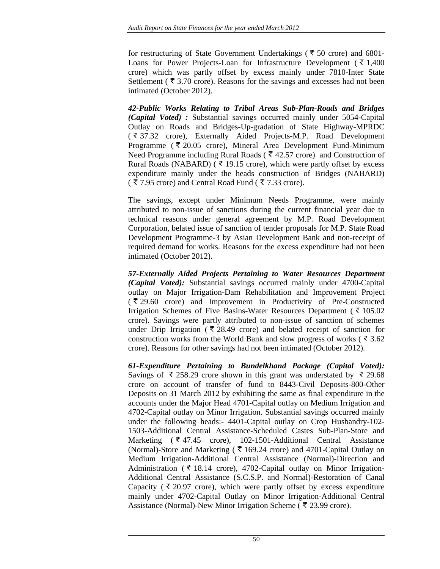for restructuring of State Government Undertakings ( $\bar{\xi}$  50 crore) and 6801-Loans for Power Projects-Loan for Infrastructure Development ( $\bar{\tau}$  1,400 crore) which was partly offset by excess mainly under 7810-Inter State Settlement ( $\bar{\xi}$  3.70 crore). Reasons for the savings and excesses had not been intimated (October 2012).

*42-Public Works Relating to Tribal Areas Sub-Plan-Roads and Bridges (Capital Voted) :* Substantial savings occurred mainly under 5054-Capital Outlay on Roads and Bridges-Up-gradation of State Highway-MPRDC ( 37.32 crore), Externally Aided Projects-M.P. Road Development Programme ( $\bar{\xi}$  20.05 crore), Mineral Area Development Fund-Minimum Need Programme including Rural Roads ( $\bar{\tau}$  42.57 crore) and Construction of Rural Roads (NABARD) ( $\bar{\tau}$  19.15 crore), which were partly offset by excess expenditure mainly under the heads construction of Bridges (NABARD)  $($   $\overline{5}$  7.95 crore) and Central Road Fund ( $\overline{5}$  7.33 crore).

The savings, except under Minimum Needs Programme, were mainly attributed to non-issue of sanctions during the current financial year due to technical reasons under general agreement by M.P. Road Development Corporation, belated issue of sanction of tender proposals for M.P. State Road Development Programme-3 by Asian Development Bank and non-receipt of required demand for works. Reasons for the excess expenditure had not been intimated (October 2012).

*57-Externally Aided Projects Pertaining to Water Resources Department (Capital Voted):* Substantial savings occurred mainly under 4700-Capital outlay on Major Irrigation-Dam Rehabilitation and Improvement Project  $(\bar{\xi})$  29.60 crore) and Improvement in Productivity of Pre-Constructed Irrigation Schemes of Five Basins-Water Resources Department ( $\bar{\tau}$  105.02) crore). Savings were partly attributed to non-issue of sanction of schemes under Drip Irrigation ( $\overline{\xi}$  28.49 crore) and belated receipt of sanction for construction works from the World Bank and slow progress of works ( $\overline{5}$  3.62) crore). Reasons for other savings had not been intimated (October 2012).

*61-Expenditure Pertaining to Bundelkhand Package (Capital Voted):* Savings of  $\bar{\xi}$  258.29 crore shown in this grant was understated by  $\bar{\xi}$  29.68 crore on account of transfer of fund to 8443-Civil Deposits-800-Other Deposits on 31 March 2012 by exhibiting the same as final expenditure in the accounts under the Major Head 4701-Capital outlay on Medium Irrigation and 4702-Capital outlay on Minor Irrigation. Substantial savings occurred mainly under the following heads:- 4401-Capital outlay on Crop Husbandry-102- 1503-Additional Central Assistance-Scheduled Castes Sub-Plan-Store and Marketing ( $\bar{\xi}$  47.45 crore), 102-1501-Additional Central Assistance (Normal)-Store and Marketing ( $\bar{\tau}$  169.24 crore) and 4701-Capital Outlay on Medium Irrigation-Additional Central Assistance (Normal)-Direction and Administration ( $\bar{\tau}$  18.14 crore), 4702-Capital outlay on Minor Irrigation-Additional Central Assistance (S.C.S.P. and Normal)-Restoration of Canal Capacity ( $\bar{\xi}$  20.97 crore), which were partly offset by excess expenditure mainly under 4702-Capital Outlay on Minor Irrigation-Additional Central Assistance (Normal)-New Minor Irrigation Scheme ( $\bar{\tau}$  23.99 crore).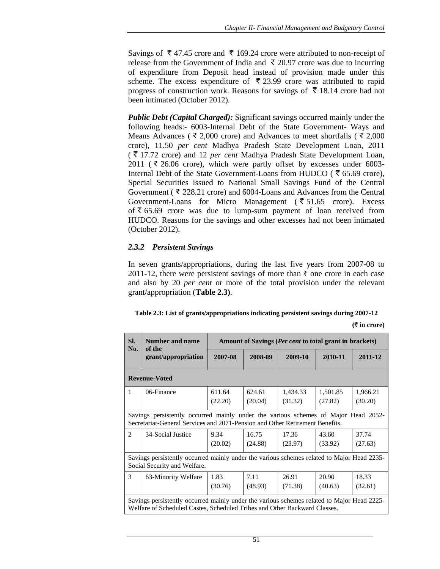Savings of  $\overline{\xi}$  47.45 crore and  $\overline{\xi}$  169.24 crore were attributed to non-receipt of release from the Government of India and  $\bar{\xi}$  20.97 crore was due to incurring of expenditure from Deposit head instead of provision made under this scheme. The excess expenditure of  $\bar{\xi}$  23.99 crore was attributed to rapid progress of construction work. Reasons for savings of  $\bar{\tau}$  18.14 crore had not been intimated (October 2012).

*Public Debt (Capital Charged):* Significant savings occurred mainly under the following heads:- 6003-Internal Debt of the State Government- Ways and Means Advances ( $\bar{\xi}$  2,000 crore) and Advances to meet shortfalls ( $\bar{\xi}$  2,000 crore), 11.50 *per cent* Madhya Pradesh State Development Loan, 2011 ( 17.72 crore) and 12 *per cent* Madhya Pradesh State Development Loan, 2011 ( $\overline{\xi}$  26.06 crore), which were partly offset by excesses under 6003-Internal Debt of the State Government-Loans from HUDCO ( $\bar{\tau}$  65.69 crore), Special Securities issued to National Small Savings Fund of the Central Government ( $\overline{\xi}$  228.21 crore) and 6004-Loans and Advances from the Central Government-Loans for Micro Management ( $\overline{5}$  51.65 crore). Excess of  $\bar{\xi}$  65.69 crore was due to lump-sum payment of loan received from HUDCO. Reasons for the savings and other excesses had not been intimated (October 2012).

## *2.3.2 Persistent Savings*

In seven grants/appropriations, during the last five years from 2007-08 to 2011-12, there were persistent savings of more than  $\bar{\tau}$  one crore in each case and also by 20 *per cent* or more of the total provision under the relevant grant/appropriation (**Table 2.3)**.

| SI.                                                                                                                                                                     | <b>Number and name</b><br>of the | Amount of Savings ( <i>Per cent</i> to total grant in brackets) |                   |                     |                     |                     |  |
|-------------------------------------------------------------------------------------------------------------------------------------------------------------------------|----------------------------------|-----------------------------------------------------------------|-------------------|---------------------|---------------------|---------------------|--|
| No.                                                                                                                                                                     | grant/appropriation              | 2007-08                                                         | 2008-09           | 2009-10             | 2010-11             | 2011-12             |  |
|                                                                                                                                                                         | <b>Revenue-Voted</b>             |                                                                 |                   |                     |                     |                     |  |
| -1                                                                                                                                                                      | 06-Finance                       | 611.64<br>(22.20)                                               | 624.61<br>(20.04) | 1,434.33<br>(31.32) | 1,501.85<br>(27.82) | 1,966.21<br>(30.20) |  |
| Savings persistently occurred mainly under the various schemes of Major Head 2052-<br>Secretariat-General Services and 2071-Pension and Other Retirement Benefits.      |                                  |                                                                 |                   |                     |                     |                     |  |
| 2                                                                                                                                                                       | 34-Social Justice                | 9.34<br>(20.02)                                                 | 16.75<br>(24.88)  | 17.36<br>(23.97)    | 43.60<br>(33.92)    | 37.74<br>(27.63)    |  |
| Savings persistently occurred mainly under the various schemes related to Major Head 2235-<br>Social Security and Welfare.                                              |                                  |                                                                 |                   |                     |                     |                     |  |
| 3                                                                                                                                                                       | 63-Minority Welfare              | 1.83<br>(30.76)                                                 | 7.11<br>(48.93)   | 26.91<br>(71.38)    | 20.90<br>(40.63)    | 18.33<br>(32.61)    |  |
| Savings persistently occurred mainly under the various schemes related to Major Head 2225-<br>Welfare of Scheduled Castes, Scheduled Tribes and Other Backward Classes. |                                  |                                                                 |                   |                     |                     |                     |  |

**(**` **in crore)**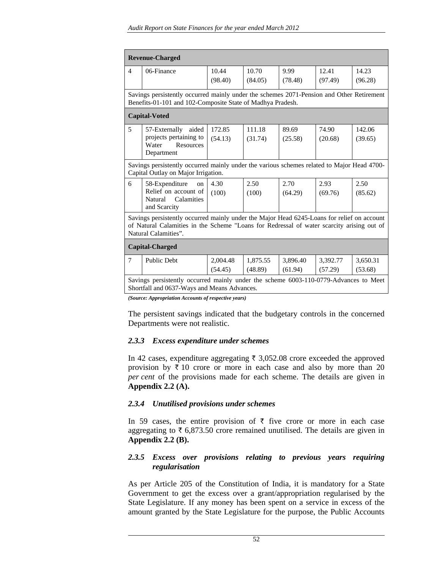| <b>Revenue-Charged</b>                                                                                                                                                                                          |                                                                                                                                                        |          |          |          |          |          |
|-----------------------------------------------------------------------------------------------------------------------------------------------------------------------------------------------------------------|--------------------------------------------------------------------------------------------------------------------------------------------------------|----------|----------|----------|----------|----------|
| $\overline{4}$                                                                                                                                                                                                  | 06-Finance                                                                                                                                             | 10.44    | 10.70    | 9.99     | 12.41    | 14.23    |
|                                                                                                                                                                                                                 |                                                                                                                                                        | (98.40)  | (84.05)  | (78.48)  | (97.49)  | (96.28)  |
|                                                                                                                                                                                                                 | Savings persistently occurred mainly under the schemes 2071-Pension and Other Retirement<br>Benefits-01-101 and 102-Composite State of Madhya Pradesh. |          |          |          |          |          |
|                                                                                                                                                                                                                 | <b>Capital-Voted</b>                                                                                                                                   |          |          |          |          |          |
| 5                                                                                                                                                                                                               | 57-Externally<br>aided                                                                                                                                 | 172.85   | 111.18   | 89.69    | 74.90    | 142.06   |
|                                                                                                                                                                                                                 | projects pertaining to<br>Resources<br>Water                                                                                                           | (54.13)  | (31.74)  | (25.58)  | (20.68)  | (39.65)  |
|                                                                                                                                                                                                                 | Department                                                                                                                                             |          |          |          |          |          |
|                                                                                                                                                                                                                 | Savings persistently occurred mainly under the various schemes related to Major Head 4700-<br>Capital Outlay on Major Irrigation.                      |          |          |          |          |          |
| 6                                                                                                                                                                                                               | 58-Expenditure<br>on                                                                                                                                   | 4.30     | 2.50     | 2.70     | 2.93     | 2.50     |
|                                                                                                                                                                                                                 | Relief on account of<br>Calamities<br>Natural<br>and Scarcity                                                                                          | (100)    | (100)    | (64.29)  | (69.76)  | (85.62)  |
| Savings persistently occurred mainly under the Major Head 6245-Loans for relief on account<br>of Natural Calamities in the Scheme "Loans for Redressal of water scarcity arising out of<br>Natural Calamities". |                                                                                                                                                        |          |          |          |          |          |
| <b>Capital-Charged</b>                                                                                                                                                                                          |                                                                                                                                                        |          |          |          |          |          |
| 7                                                                                                                                                                                                               | <b>Public Debt</b>                                                                                                                                     | 2,004.48 | 1,875.55 | 3,896.40 | 3,392.77 | 3,650.31 |
|                                                                                                                                                                                                                 |                                                                                                                                                        | (54.45)  | (48.89)  | (61.94)  | (57.29)  | (53.68)  |
|                                                                                                                                                                                                                 | Savings persistently occurred mainly under the scheme 6003-110-0779-Advances to Meet<br>Shortfall and 0637-Ways and Means Advances.                    |          |          |          |          |          |

*(Source: Appropriation Accounts of respective years)*

The persistent savings indicated that the budgetary controls in the concerned Departments were not realistic.

#### *2.3.3 Excess expenditure under schemes*

In 42 cases, expenditure aggregating  $\bar{\tau}$  3,052.08 crore exceeded the approved provision by  $\bar{x}$  10 crore or more in each case and also by more than 20 *per cent* of the provisions made for each scheme. The details are given in **Appendix 2.2 (A).** 

#### *2.3.4 Unutilised provisions under schemes*

In 59 cases, the entire provision of  $\bar{\tau}$  five crore or more in each case aggregating to  $\bar{\tau}$  6,873.50 crore remained unutilised. The details are given in **Appendix 2.2 (B).**

#### *2.3.5 Excess over provisions relating to previous years requiring regularisation*

As per Article 205 of the Constitution of India, it is mandatory for a State Government to get the excess over a grant/appropriation regularised by the State Legislature. If any money has been spent on a service in excess of the amount granted by the State Legislature for the purpose, the Public Accounts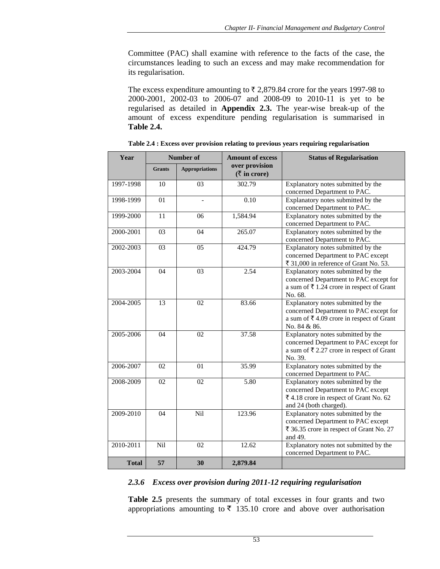Committee (PAC) shall examine with reference to the facts of the case, the circumstances leading to such an excess and may make recommendation for its regularisation.

The excess expenditure amounting to  $\bar{\tau}$  2,879.84 crore for the years 1997-98 to 2000-2001, 2002-03 to 2006-07 and 2008-09 to 2010-11 is yet to be regularised as detailed in **Appendix 2.3.** The year-wise break-up of the amount of excess expenditure pending regularisation is summarised in **Table 2.4.**

| Year         |               | <b>Number of</b>      | <b>Amount of excess</b>                           | <b>Status of Regularisation</b>                                                                                                                     |
|--------------|---------------|-----------------------|---------------------------------------------------|-----------------------------------------------------------------------------------------------------------------------------------------------------|
|              | <b>Grants</b> | <b>Appropriations</b> | over provision<br>$(\bar{\bar{\zeta}})$ in crore) |                                                                                                                                                     |
| 1997-1998    | 10            | 03                    | 302.79                                            | Explanatory notes submitted by the<br>concerned Department to PAC.                                                                                  |
| 1998-1999    | 01            |                       | 0.10                                              | Explanatory notes submitted by the<br>concerned Department to PAC.                                                                                  |
| 1999-2000    | 11            | 06                    | 1,584.94                                          | Explanatory notes submitted by the<br>concerned Department to PAC.                                                                                  |
| 2000-2001    | 03            | 04                    | 265.07                                            | Explanatory notes submitted by the<br>concerned Department to PAC.                                                                                  |
| 2002-2003    | 03            | 05                    | 424.79                                            | Explanatory notes submitted by the<br>concerned Department to PAC except<br>₹ 31,000 in reference of Grant No. 53.                                  |
| 2003-2004    | 04            | 03                    | 2.54                                              | Explanatory notes submitted by the<br>concerned Department to PAC except for<br>a sum of ₹ 1.24 crore in respect of Grant<br>No. 68.                |
| 2004-2005    | 13            | 02                    | 83.66                                             | Explanatory notes submitted by the<br>concerned Department to PAC except for<br>a sum of $\bar{\xi}$ 4.09 crore in respect of Grant<br>No. 84 & 86. |
| 2005-2006    | 04            | 02                    | 37.58                                             | Explanatory notes submitted by the<br>concerned Department to PAC except for<br>a sum of $\bar{\tau}$ 2.27 crore in respect of Grant<br>No. 39.     |
| 2006-2007    | 02            | 01                    | 35.99                                             | Explanatory notes submitted by the<br>concerned Department to PAC.                                                                                  |
| 2008-2009    | 02            | 02                    | 5.80                                              | Explanatory notes submitted by the<br>concerned Department to PAC except<br>₹4.18 crore in respect of Grant No. 62<br>and 24 (both charged).        |
| 2009-2010    | 04            | Nil                   | 123.96                                            | Explanatory notes submitted by the<br>concerned Department to PAC except<br>₹ 36.35 crore in respect of Grant No. 27<br>and 49.                     |
| 2010-2011    | <b>Nil</b>    | 02                    | 12.62                                             | Explanatory notes not submitted by the<br>concerned Department to PAC.                                                                              |
| <b>Total</b> | 57            | 30                    | 2,879.84                                          |                                                                                                                                                     |

**Table 2.4 : Excess over provision relating to previous years requiring regularisation** 

#### *2.3.6 Excess over provision during 2011-12 requiring regularisation*

**Table 2.5** presents the summary of total excesses in four grants and two appropriations amounting to  $\bar{\xi}$  135.10 crore and above over authorisation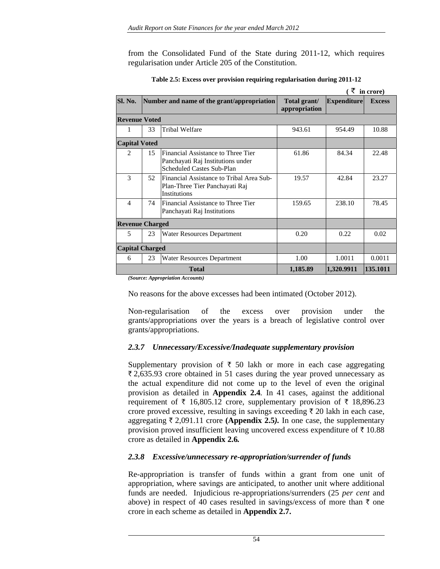from the Consolidated Fund of the State during 2011-12, which requires regularisation under Article 205 of the Constitution.

|                        |                                                  |                                                                                                             |                               |             | $\zeta$ in crore) |
|------------------------|--------------------------------------------------|-------------------------------------------------------------------------------------------------------------|-------------------------------|-------------|-------------------|
| Sl. No.                |                                                  | Number and name of the grant/appropriation                                                                  | Total grant/<br>appropriation | Expenditure | <b>Excess</b>     |
| <b>Revenue Voted</b>   |                                                  |                                                                                                             |                               |             |                   |
| 1                      | 33                                               | Tribal Welfare                                                                                              | 943.61                        | 954.49      | 10.88             |
| <b>Capital Voted</b>   |                                                  |                                                                                                             |                               |             |                   |
| 2                      | 15                                               | Financial Assistance to Three Tier<br>Panchayati Raj Institutions under<br><b>Scheduled Castes Sub-Plan</b> | 61.86                         | 84.34       | 22.48             |
| 3                      | 52                                               | Financial Assistance to Tribal Area Sub-<br>Plan-Three Tier Panchayati Raj<br><b>Institutions</b>           | 19.57                         | 42.84       | 23.27             |
| 4                      | 74                                               | Financial Assistance to Three Tier<br>Panchayati Raj Institutions                                           | 159.65                        | 238.10      | 78.45             |
| <b>Revenue Charged</b> |                                                  |                                                                                                             |                               |             |                   |
| 5                      | 23                                               | <b>Water Resources Department</b>                                                                           | 0.20                          | 0.22        | 0.02              |
| <b>Capital Charged</b> |                                                  |                                                                                                             |                               |             |                   |
| 6                      | 23                                               | Water Resources Department                                                                                  | 1.00                          | 1.0011      | 0.0011            |
|                        | <b>Total</b><br>(Source: Annropriation Accounts) |                                                                                                             |                               | 1,320.9911  | 135.1011          |

| Table 2.5: Excess over provision requiring regularisation during 2011-12 |  |  |  |  |
|--------------------------------------------------------------------------|--|--|--|--|
|--------------------------------------------------------------------------|--|--|--|--|

*(Source: Appropriation Accounts)*

No reasons for the above excesses had been intimated (October 2012).

Non-regularisation of the excess over provision under the grants/appropriations over the years is a breach of legislative control over grants/appropriations.

#### *2.3.7 Unnecessary/Excessive/Inadequate supplementary provision*

Supplementary provision of  $\bar{\tau}$  50 lakh or more in each case aggregating  $\overline{\xi}$  2,635.93 crore obtained in 51 cases during the year proved unnecessary as the actual expenditure did not come up to the level of even the original provision as detailed in **Appendix 2.4***.* In 41 cases, against the additional requirement of  $\bar{\tau}$  16,805.12 crore, supplementary provision of  $\bar{\tau}$  18,896.23 crore proved excessive, resulting in savings exceeding  $\bar{\tau}$  20 lakh in each case, aggregating  $\bar{\tau}$  2,091.11 crore (Appendix 2.5). In one case, the supplementary provision proved insufficient leaving uncovered excess expenditure of  $\bar{\tau}$  10.88 crore as detailed in **Appendix 2.6***.*

#### *2.3.8 Excessive/unnecessary re-appropriation/surrender of funds*

Re-appropriation is transfer of funds within a grant from one unit of appropriation, where savings are anticipated, to another unit where additional funds are needed. Injudicious re-appropriations/surrenders (25 *per cent* and above) in respect of 40 cases resulted in savings/excess of more than  $\bar{\tau}$  one crore in each scheme as detailed in **Appendix 2.7.**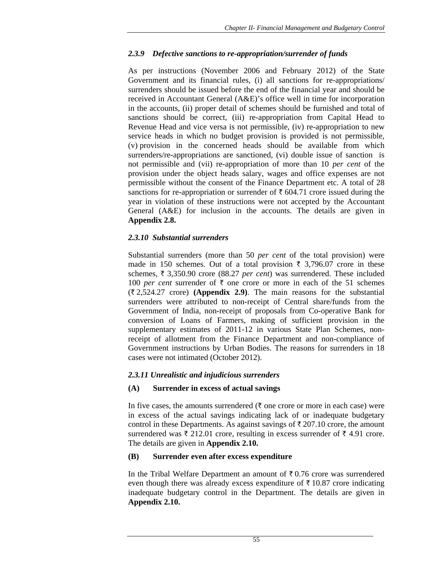## *2.3.9 Defective sanctions to re-appropriation/surrender of funds*

As per instructions (November 2006 and February 2012) of the State Government and its financial rules, (i) all sanctions for re-appropriations/ surrenders should be issued before the end of the financial year and should be received in Accountant General (A&E)'s office well in time for incorporation in the accounts, (ii) proper detail of schemes should be furnished and total of sanctions should be correct, (iii) re-appropriation from Capital Head to Revenue Head and vice versa is not permissible, (iv) re-appropriation to new service heads in which no budget provision is provided is not permissible, (v) provision in the concerned heads should be available from which surrenders/re-appropriations are sanctioned, (vi) double issue of sanction is not permissible and (vii) re-appropriation of more than 10 *per cent* of the provision under the object heads salary, wages and office expenses are not permissible without the consent of the Finance Department etc. A total of 28 sanctions for re-appropriation or surrender of  $\bar{\tau}$  604.71 crore issued during the year in violation of these instructions were not accepted by the Accountant General (A&E) for inclusion in the accounts. The details are given in **Appendix 2.8.** 

## *2.3.10 Substantial surrenders*

Substantial surrenders (more than 50 *per cent* of the total provision) were made in 150 schemes. Out of a total provision  $\bar{\tau}$  3,796.07 crore in these schemes,  $\bar{\tau}$  3,350.90 crore (88.27 *per cent*) was surrendered. These included 100 *per cent* surrender of  $\bar{\tau}$  one crore or more in each of the 51 schemes  $(\overline{\tau}, 2,524.27 \text{ core})$  (Appendix 2.9). The main reasons for the substantial surrenders were attributed to non-receipt of Central share/funds from the Government of India, non-receipt of proposals from Co-operative Bank for conversion of Loans of Farmers, making of sufficient provision in the supplementary estimates of 2011-12 in various State Plan Schemes, nonreceipt of allotment from the Finance Department and non-compliance of Government instructions by Urban Bodies. The reasons for surrenders in 18 cases were not intimated (October 2012).

## *2.3.11 Unrealistic and injudicious surrenders*

## **(A) Surrender in excess of actual savings**

In five cases, the amounts surrendered ( $\bar{\tau}$  one crore or more in each case) were in excess of the actual savings indicating lack of or inadequate budgetary control in these Departments. As against savings of  $\bar{\tau}$  207.10 crore, the amount surrendered was  $\bar{\tau}$  212.01 crore, resulting in excess surrender of  $\bar{\tau}$  4.91 crore. The details are given in **Appendix 2.10.**

## **(B) Surrender even after excess expenditure**

In the Tribal Welfare Department an amount of  $\bar{\tau}$  0.76 crore was surrendered even though there was already excess expenditure of  $\bar{\tau}$  10.87 crore indicating inadequate budgetary control in the Department. The details are given in **Appendix 2.10.**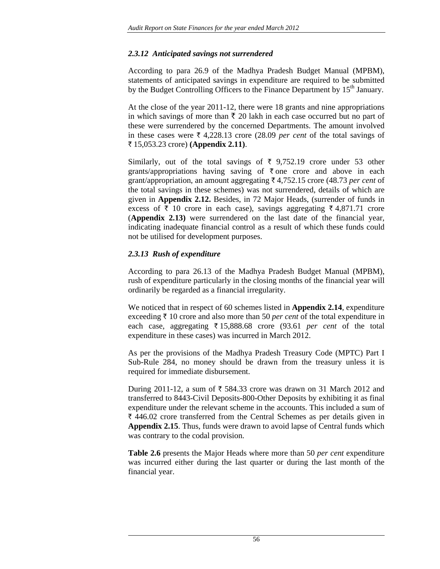## *2.3.12 Anticipated savings not surrendered*

According to para 26.9 of the Madhya Pradesh Budget Manual (MPBM), statements of anticipated savings in expenditure are required to be submitted by the Budget Controlling Officers to the Finance Department by 15<sup>th</sup> January.

At the close of the year 2011-12, there were 18 grants and nine appropriations in which savings of more than  $\bar{\tau}$  20 lakh in each case occurred but no part of these were surrendered by the concerned Departments. The amount involved in these cases were  $\bar{\tau}$  4,228.13 crore (28.09 *per cent* of the total savings of ` 15,053.23 crore) **(Appendix 2.11)**.

Similarly, out of the total savings of  $\bar{\tau}$  9,752.19 crore under 53 other grants/appropriations having saving of  $\bar{\tau}$  one crore and above in each grant/appropriation, an amount aggregating ` 4,752.15 crore (48.73 *per cent* of the total savings in these schemes) was not surrendered, details of which are given in **Appendix 2.12.** Besides, in 72 Major Heads, (surrender of funds in excess of  $\bar{\tau}$  10 crore in each case), savings aggregating  $\bar{\tau}$  4,871.71 crore (**Appendix 2.13)** were surrendered on the last date of the financial year, indicating inadequate financial control as a result of which these funds could not be utilised for development purposes.

## *2.3.13 Rush of expenditure*

According to para 26.13 of the Madhya Pradesh Budget Manual (MPBM), rush of expenditure particularly in the closing months of the financial year will ordinarily be regarded as a financial irregularity.

We noticed that in respect of 60 schemes listed in **Appendix 2.14**, expenditure exceeding  $\bar{\tau}$  10 crore and also more than 50 *per cent* of the total expenditure in each case, aggregating ₹15,888.68 crore (93.61 *per cent* of the total expenditure in these cases) was incurred in March 2012.

As per the provisions of the Madhya Pradesh Treasury Code (MPTC) Part I Sub-Rule 284, no money should be drawn from the treasury unless it is required for immediate disbursement.

During 2011-12, a sum of  $\overline{\xi}$  584.33 crore was drawn on 31 March 2012 and transferred to 8443-Civil Deposits-800-Other Deposits by exhibiting it as final expenditure under the relevant scheme in the accounts. This included a sum of  $\bar{\tau}$  446.02 crore transferred from the Central Schemes as per details given in **Appendix 2.15**. Thus, funds were drawn to avoid lapse of Central funds which was contrary to the codal provision.

**Table 2.6** presents the Major Heads where more than 50 *per cent* expenditure was incurred either during the last quarter or during the last month of the financial year.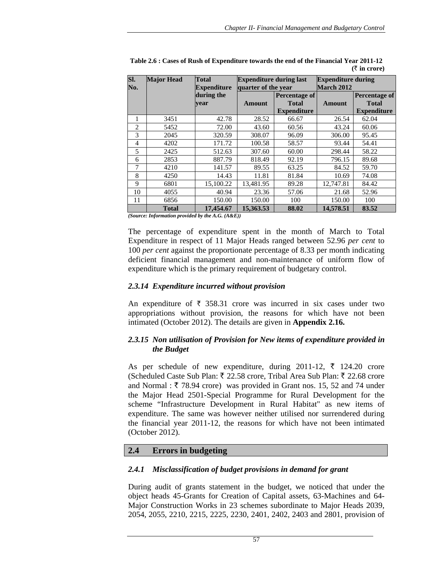| SI.<br>No.     | <b>Major Head</b>               | Total<br><b>Expenditure</b> | <b>Expenditure during last</b><br>quarter of the year |                                                     | <b>Expenditure during</b><br><b>March 2012</b> |                                                     |  |
|----------------|---------------------------------|-----------------------------|-------------------------------------------------------|-----------------------------------------------------|------------------------------------------------|-----------------------------------------------------|--|
|                |                                 | during the<br>vear          | Amount                                                | Percentage of<br><b>Total</b><br><b>Expenditure</b> | Amount                                         | Percentage of<br><b>Total</b><br><b>Expenditure</b> |  |
| 1              | 3451                            | 42.78                       | 28.52                                                 | 66.67                                               | 26.54                                          | 62.04                                               |  |
| $\mathfrak{D}$ | 5452                            | 72.00                       | 43.60                                                 | 60.56                                               | 43.24                                          | 60.06                                               |  |
| 3              | 2045                            | 320.59                      | 308.07                                                | 96.09                                               | 306.00                                         | 95.45                                               |  |
| 4              | 4202                            | 171.72                      | 100.58                                                | 58.57                                               | 93.44                                          | 54.41                                               |  |
| 5              | 2425                            | 512.63                      | 307.60                                                | 60.00                                               | 298.44                                         | 58.22                                               |  |
| 6              | 2853                            | 887.79                      | 818.49                                                | 92.19                                               | 796.15                                         | 89.68                                               |  |
| 7              | 4210                            | 141.57                      | 89.55                                                 | 63.25                                               | 84.52                                          | 59.70                                               |  |
| 8              | 4250                            | 14.43                       | 11.81                                                 | 81.84                                               | 10.69                                          | 74.08                                               |  |
| 9              | 6801                            | 15,100.22                   | 13,481.95                                             | 89.28                                               | 12,747.81                                      | 84.42                                               |  |
| 10             | 4055                            | 40.94                       | 23.36                                                 | 57.06                                               | 21.68                                          | 52.96                                               |  |
| 11             | 6856                            | 150.00                      | 150.00                                                | 100                                                 | 150.00                                         | 100                                                 |  |
| $\sim$         | <b>Total</b><br>$\cdot$ $\cdot$ | 17,454.67                   | 15,363.53                                             | 88.02                                               | 14,578.51                                      | 83.52                                               |  |

**Table 2.6 : Cases of Rush of Expenditure towards the end of the Financial Year 2011-12 (**` **in crore)** 

*(Source: Information provided by the A.G. (A&E))*

The percentage of expenditure spent in the month of March to Total Expenditure in respect of 11 Major Heads ranged between 52.96 *per cent* to 100 *per cent* against the proportionate percentage of 8.33 per month indicating deficient financial management and non-maintenance of uniform flow of expenditure which is the primary requirement of budgetary control.

#### *2.3.14 Expenditure incurred without provision*

An expenditure of  $\bar{\tau}$  358.31 crore was incurred in six cases under two appropriations without provision, the reasons for which have not been intimated (October 2012). The details are given in **Appendix 2.16.** 

#### *2.3.15 Non utilisation of Provision for New items of expenditure provided in the Budget*

As per schedule of new expenditure, during 2011-12,  $\bar{\tau}$  124.20 crore (Scheduled Caste Sub Plan: ₹ 22.58 crore, Tribal Area Sub Plan: ₹ 22.68 crore and Normal :  $\bar{\tau}$  78.94 crore) was provided in Grant nos. 15, 52 and 74 under the Major Head 2501-Special Programme for Rural Development for the scheme "Infrastructure Development in Rural Habitat" as new items of expenditure. The same was however neither utilised nor surrendered during the financial year 2011-12, the reasons for which have not been intimated (October 2012).

#### **2.4 Errors in budgeting**

#### *2.4.1 Misclassification of budget provisions in demand for grant*

During audit of grants statement in the budget, we noticed that under the object heads 45-Grants for Creation of Capital assets, 63-Machines and 64- Major Construction Works in 23 schemes subordinate to Major Heads 2039, 2054, 2055, 2210, 2215, 2225, 2230, 2401, 2402, 2403 and 2801, provision of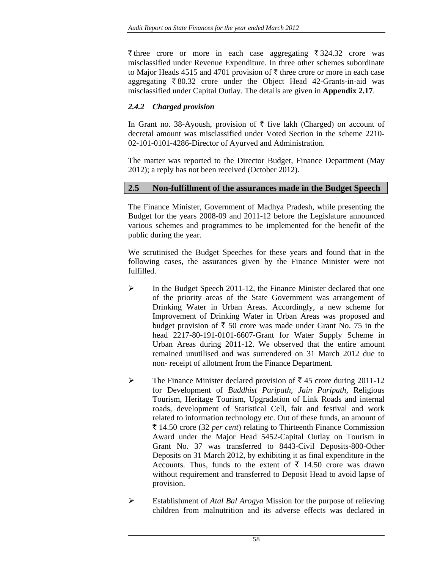$\bar{\tau}$  three crore or more in each case aggregating  $\bar{\tau}$  324.32 crore was misclassified under Revenue Expenditure. In three other schemes subordinate to Major Heads 4515 and 4701 provision of  $\bar{\tau}$  three crore or more in each case aggregating  $\overline{\tau}$  80.32 crore under the Object Head 42-Grants-in-aid was misclassified under Capital Outlay. The details are given in **Appendix 2.17**.

#### *2.4.2 Charged provision*

In Grant no. 38-Ayoush, provision of  $\bar{\tau}$  five lakh (Charged) on account of decretal amount was misclassified under Voted Section in the scheme 2210- 02-101-0101-4286-Director of Ayurved and Administration.

The matter was reported to the Director Budget, Finance Department (May 2012); a reply has not been received (October 2012).

#### **2.5 Non-fulfillment of the assurances made in the Budget Speech**

The Finance Minister, Government of Madhya Pradesh, while presenting the Budget for the years 2008-09 and 2011-12 before the Legislature announced various schemes and programmes to be implemented for the benefit of the public during the year.

We scrutinised the Budget Speeches for these years and found that in the following cases, the assurances given by the Finance Minister were not fulfilled.

- ¾ In the Budget Speech 2011-12, the Finance Minister declared that one of the priority areas of the State Government was arrangement of Drinking Water in Urban Areas. Accordingly, a new scheme for Improvement of Drinking Water in Urban Areas was proposed and budget provision of  $\bar{\tau}$  50 crore was made under Grant No. 75 in the head 2217-80-191-0101-6607-Grant for Water Supply Scheme in Urban Areas during 2011-12. We observed that the entire amount remained unutilised and was surrendered on 31 March 2012 due to non- receipt of allotment from the Finance Department.
- $\triangleright$  The Finance Minister declared provision of  $\bar{\tau}$  45 crore during 2011-12 for Development of *Buddhist Paripath, Jain Paripath,* Religious Tourism, Heritage Tourism, Upgradation of Link Roads and internal roads, development of Statistical Cell, fair and festival and work related to information technology etc. Out of these funds, an amount of ` 14.50 crore (32 *per cent*) relating to Thirteenth Finance Commission Award under the Major Head 5452-Capital Outlay on Tourism in Grant No. 37 was transferred to 8443-Civil Deposits-800-Other Deposits on 31 March 2012, by exhibiting it as final expenditure in the Accounts. Thus, funds to the extent of  $\bar{\tau}$  14.50 crore was drawn without requirement and transferred to Deposit Head to avoid lapse of provision.
- ¾ Establishment of *Atal Bal Arogya* Mission for the purpose of relieving children from malnutrition and its adverse effects was declared in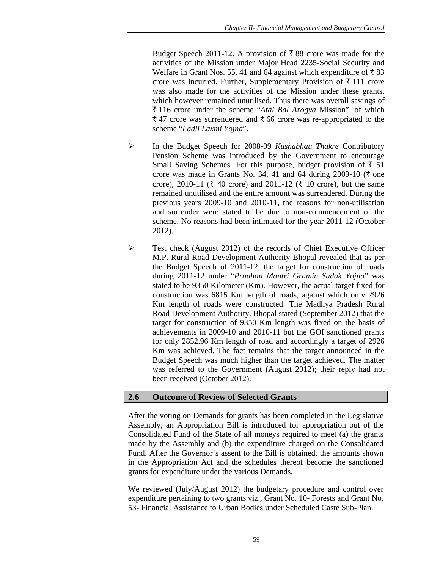Budget Speech 2011-12. A provision of  $\bar{\tau}$  88 crore was made for the activities of the Mission under Major Head 2235-Social Security and Welfare in Grant Nos. 55, 41 and 64 against which expenditure of  $\bar{\bar{\mathbf{x}}}$  83 crore was incurred. Further, Supplementary Provision of  $\bar{\tau}$  111 crore was also made for the activities of the Mission under these grants, which however remained unutilised. Thus there was overall savings of ` 116 crore under the scheme "*Atal Bal Arogya* Mission", of which  $\bar{\xi}$  47 crore was surrendered and  $\bar{\xi}$  66 crore was re-appropriated to the scheme "*Ladli Laxmi Yojna*".

- ¾ In the Budget Speech for 2008-09 *Kushabhau Thakre* Contributory Pension Scheme was introduced by the Government to encourage Small Saving Schemes. For this purpose, budget provision of  $\bar{\tau}$  51 crore was made in Grants No. 34, 41 and 64 during 2009-10 ( $\overline{\tau}$  one crore), 2010-11 ( $\bar{\tau}$  40 crore) and 2011-12 ( $\bar{\tau}$  10 crore), but the same remained unutilised and the entire amount was surrendered. During the previous years 2009-10 and 2010-11, the reasons for non-utilisation and surrender were stated to be due to non-commencement of the scheme. No reasons had been intimated for the year 2011-12 (October 2012).
- $\triangleright$  Test check (August 2012) of the records of Chief Executive Officer M.P. Rural Road Development Authority Bhopal revealed that as per the Budget Speech of 2011-12, the target for construction of roads during 2011-12 under "*Pradhan Mantri Gramin Sadak Yojna*" was stated to be 9350 Kilometer (Km). However, the actual target fixed for construction was 6815 Km length of roads, against which only 2926 Km length of roads were constructed. The Madhya Pradesh Rural Road Development Authority, Bhopal stated (September 2012) that the target for construction of 9350 Km length was fixed on the basis of achievements in 2009-10 and 2010-11 but the GOI sanctioned grants for only 2852.96 Km length of road and accordingly a target of 2926 Km was achieved. The fact remains that the target announced in the Budget Speech was much higher than the target achieved. The matter was referred to the Government (August 2012); their reply had not been received (October 2012).

## **2.6 Outcome of Review of Selected Grants**

After the voting on Demands for grants has been completed in the Legislative Assembly, an Appropriation Bill is introduced for appropriation out of the Consolidated Fund of the State of all moneys required to meet (a) the grants made by the Assembly and (b) the expenditure charged on the Consolidated Fund. After the Governor's assent to the Bill is obtained, the amounts shown in the Appropriation Act and the schedules thereof become the sanctioned grants for expenditure under the various Demands.

We reviewed (July/August 2012) the budgetary procedure and control over expenditure pertaining to two grants viz., Grant No. 10- Forests and Grant No. 53- Financial Assistance to Urban Bodies under Scheduled Caste Sub-Plan.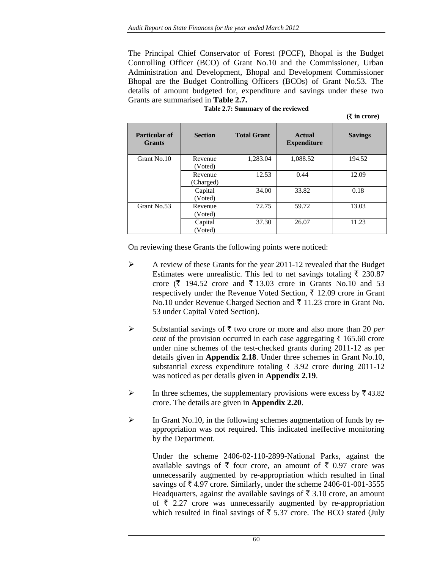The Principal Chief Conservator of Forest (PCCF), Bhopal is the Budget Controlling Officer (BCO) of Grant No.10 and the Commissioner, Urban Administration and Development, Bhopal and Development Commissioner Bhopal are the Budget Controlling Officers (BCOs) of Grant No.53. The details of amount budgeted for, expenditure and savings under these two Grants are summarised in **Table 2.7.**

| <b>Particular of</b><br><b>Grants</b> | <b>Section</b>       | <b>Total Grant</b> | <b>Actual</b><br><b>Expenditure</b> | <b>Savings</b> |
|---------------------------------------|----------------------|--------------------|-------------------------------------|----------------|
| Grant No.10                           | Revenue<br>(Voted)   | 1,283.04           | 1,088.52                            | 194.52         |
|                                       | Revenue<br>(Charged) | 12.53              | 0.44                                | 12.09          |
|                                       | Capital<br>(Voted)   | 34.00              | 33.82                               | 0.18           |
| Grant No.53                           | Revenue<br>(Voted)   | 72.75              | 59.72                               | 13.03          |
|                                       | Capital<br>(Voted)   | 37.30              | 26.07                               | 11.23          |

| Table 2.7: Summary of the reviewed |  |
|------------------------------------|--|
|                                    |  |

 **(**` **in crore)** 

On reviewing these Grants the following points were noticed:

- ¾ A review of these Grants for the year 2011-12 revealed that the Budget Estimates were unrealistic. This led to net savings totaling  $\bar{\tau}$  230.87 crore ( $\bar{\xi}$  194.52 crore and  $\bar{\xi}$  13.03 crore in Grants No.10 and 53 respectively under the Revenue Voted Section,  $\bar{\tau}$  12.09 crore in Grant No.10 under Revenue Charged Section and  $\bar{\tau}$  11.23 crore in Grant No. 53 under Capital Voted Section).
- $\triangleright$  Substantial savings of  $\overline{\tau}$  two crore or more and also more than 20 *per cent* of the provision occurred in each case aggregating  $\bar{\tau}$  165.60 crore under nine schemes of the test-checked grants during 2011-12 as per details given in **Appendix 2.18**. Under three schemes in Grant No.10, substantial excess expenditure totaling  $\bar{\tau}$  3.92 crore during 2011-12 was noticed as per details given in **Appendix 2.19**.
- ightharpoonup In three schemes, the supplementary provisions were excess by  $\bar{\tau}$  43.82 crore. The details are given in **Appendix 2.20**.
- $\triangleright$  In Grant No.10, in the following schemes augmentation of funds by reappropriation was not required. This indicated ineffective monitoring by the Department.

Under the scheme 2406-02-110-2899-National Parks, against the available savings of  $\bar{\tau}$  four crore, an amount of  $\bar{\tau}$  0.97 crore was unnecessarily augmented by re-appropriation which resulted in final savings of  $\bar{\tau}$  4.97 crore. Similarly, under the scheme 2406-01-001-3555 Headquarters, against the available savings of  $\bar{\tau}$  3.10 crore, an amount of  $\bar{\tau}$  2.27 crore was unnecessarily augmented by re-appropriation which resulted in final savings of  $\overline{\xi}$  5.37 crore. The BCO stated (July